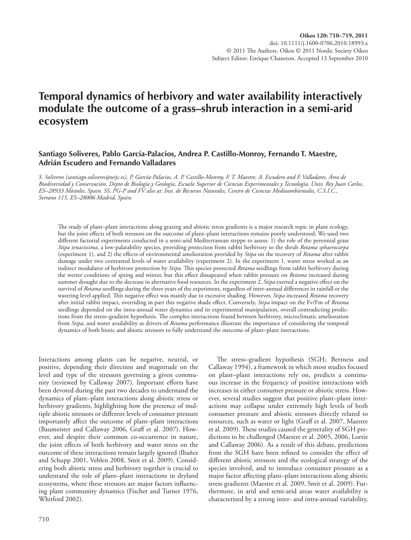# **Temporal dynamics of herbivory and water availability interactively modulate the outcome of a grass – shrub interaction in a semi-arid ecosystem**

# Santiago Soliveres, Pablo García-Palacios, Andrea P. Castillo-Monroy, Fernando T. Maestre, **Adrián Escudero and Fernando Valladares**

 *S. Soliveres (santiago.soliveres@urjc.es), P. Garc í a-Palacios, A. P. Castillo-Monroy, F. T. Maestre, A. Escudero and F. Valladares, Á rea de*  Biodiversidad y Conservación, Depto de Biología y Geología, Escuela Superior de Ciencias Experimentales y Tecnología, Univ. Rey Juan Carlos, *ES – 28933 M ó stoles, Spain. SS, PG-P and FV also at: Inst. de Recursos Naturales, Centro de Ciencias Medioambientales, C.S.I.C., Serrano 115, ES – 28006 Madrid, Spain.* 

The study of plant-plant interactions along grazing and abiotic stress gradients is a major research topic in plant ecology, but the joint effects of both stressors on the outcome of plant-plant interactions remains poorly understood. We used two different factorial experiments conducted in a semi-arid Mediterranean steppe to assess: 1) the role of the perennial grass *Stipa tenacissima* , a low-palatability species, providing protection from rabbit herbivory to the shrub *Retama sphaerocarpa* (experiment 1), and 2) the effects of environmental amelioration provided by *Stipa* on the recovery of *Retama* after rabbit damage under two contrasted levels of water availability (experiment 2). In the experiment 1, water stress worked as an indirect modulator of herbivore protection by *Stipa*. This species protected *Retama* seedlings from rabbit herbivory during the wetter conditions of spring and winter, but this effect dissapeared when rabbit pressure on *Retama* increased during summer drought due to the decrease in alternative food resources. In the experiment 2, *Stipa* exerted a negative effect on the survival of *Retama* seedlings during the three years of the experiment, regardless of inter-annual differences in rainfall or the watering level applied. This negative effect was mainly due to excessive shading. However, *Stipa* increased Retama recovery after initial rabbit impact, overriding in part this negative shade effect. Conversely, *Stipa* impact on the Fv/Fm of *Retama* seedlings depended on the intra-annual water dynamics and its experimental manipulation, overall contradicting predictions from the stress-gradient hypothesis. The complex interactions found between herbivory, microclimatic amelioration from *Stipa* , and water availability as drivers of *Retama* performance illustrate the importance of considering the temporal dynamics of both biotic and abiotic stressors to fully understand the outcome of plant – plant interactions.

Interactions among plants can be negative, neutral, or positive, depending their direction and magnitude on the level and type of the stressors governing a given community (reviewed by Callaway 2007). Important efforts have been devoted during the past two decades to understand the dynamics of plant-plant interactions along abiotic stress or herbivory gradients, highlighting how the presence of multiple abiotic stressors or different levels of consumer pressure importantly affect the outcome of plant-plant interactions (Baumeister and Callaway 2006, Graff et al. 2007). However, and despite their common co-occurrence in nature, the joint effects of both herbivory and water stress on the outcome of these interactions remain largely ignored (Ibañez and Schupp 2001, Veblen 2008, Smit et al. 2009). Considering both abiotic stress and herbivory together is crucial to understand the role of plant-plant interactions in dryland ecosystems, where these stressors are major factors influencing plant community dynamics (Fischer and Turner 1976, Whitford 2002).

The stress-gradient hypothesis (SGH; Bertness and Callaway 1994), a framework in which most studies focused on plant-plant interactions rely on, predicts a continuous increase in the frequency of positive interactions with increases in either consumer pressure or abiotic stress. However, several studies suggest that positive plant – plant interactions may collapse under extremely high levels of both consumer pressure and abiotic stressors directly related to resources, such as water or light (Graff et al. 2007, Maestre et al. 2009). These studies caused the generality of SGH predictions to be challenged (Maestre et al. 2005, 2006, Lortie and Callaway 2006). As a result of this debate, predictions from the SGH have been refined to consider the effect of different abiotic stressors and the ecological strategy of the species involved, and to introduce consumer pressure as a major factor affecting plant-plant interactions along abiotic stress gradients (Maestre et al. 2009, Smit et al. 2009). Furthermore, in arid and semi-arid areas water availability is characterized by a strong inter- and intra-annual variability,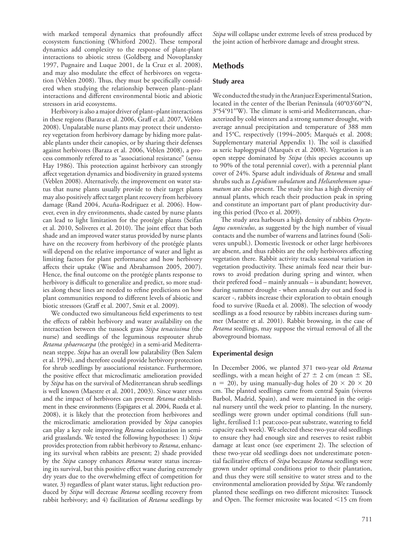with marked temporal dynamics that profoundly affect ecosystem functioning (Whitford 2002). These temporal dynamics add complexity to the response of plant-plant interactions to abiotic stress (Goldberg and Novoplansky 1997, Pugnaire and Luque 2001, de la Cruz et al. 2008), and may also modulate the effect of herbivores on vegetation (Veblen 2008). Thus, they must be specifically considered when studying the relationship between plant – plant interactions and different environmental biotic and abiotic stressors in arid ecosystems.

Herbivory is also a major driver of plant-plant interactions in these regions (Baraza et al. 2006, Graff et al. 2007, Veblen 2008). Unpalatable nurse plants may protect their understorey vegetation from herbivory damage by hiding more palatable plants under their canopies, or by sharing their defenses against herbivores (Baraza et al. 2006, Veblen 2008), a process commonly refered to as "associational resistance" (sensu Hay 1986). This protection against herbivory can strongly affect vegetation dynamics and biodiversity in grazed systems (Veblen 2008). Alternatively, the improvement on water status that nurse plants usually provide to their target plants may also positively affect target plant recovery from herbivory damage (Rand 2004, Acuña-Rodriguez et al. 2006). However, even in dry environments, shade casted by nurse plants can lead to light limitation for the protégée plants (Seifan et al. 2010, Soliveres et al. 2010). The joint effect that both shade and an improved water status provided by nurse plants have on the recovery from herbivory of the protégée plants will depend on the relative importance of water and light as limiting factors for plant performance and how herbivory affects their uptake (Wise and Abrahamson 2005, 2007). Hence, the final outcome on the protégée plants response to herbivory is difficult to generalize and predict, so more studies along these lines are needed to refine predictions on how plant communities respond to different levels of abiotic and biotic stressors (Graff et al. 2007, Smit et al. 2009).

We conducted two simultaneous field experiments to test the effects of rabbit herbivory and water availability on the interaction between the tussock grass *Stipa tenacissima* (the nurse) and seedlings of the leguminous resprouter shrub *Retama sphaerocarpa* (the protégée) in a semi-arid Mediterranean steppe. *Stipa* has an overall low palatability (Ben Salem et al. 1994), and therefore could provide herbivory protection for shrub seedlings by associational resistance. Furthermore, the positive effect that microclimatic amelioration provided by *Stipa* has on the survival of Mediterranean shrub seedlings is well known (Maestre et al. 2001, 2003). Since water stress and the impact of herbivores can prevent *Retama* establishment in these environments (Espigares et al. 2004, Rueda et al. 2008), it is likely that the protection from herbivores and the microclimatic amelioration provided by *Stipa* canopies can play a key role improving *Retama* colonization in semiarid grasslands. We tested the following hypotheses: 1) *Stipa* provides protection from rabbit herbivory to *Retama*, enhancing its survival when rabbits are present; 2) shade provided by the *Stipa* canopy enhances *Retama* water status increasing its survival, but this positive effect wane during extremely dry years due to the overwhelming effect of competition for water, 3) regardless of plant water status, light reduction produced by *Stipa* will decrease *Retama* seedling recovery from rabbit herbivory; and 4) facilitation of *Retama* seedlings by *Stipa* will collapse under extreme levels of stress produced by the joint action of herbivore damage and drought stress.

# **Methods**

## **Study area**

 We conducted the study in the Aranjuez Experimental Station, located in the center of the Iberian Peninsula (40°03'60"N, 3°54'91''W). The climate is semi-arid Mediterranean, characterized by cold winters and a strong summer drought, with average annual precipitation and temperature of 388 mm and 15°C, respectively (1994–2005; Marqués et al. 2008; Supplementary material Appendix 1). The soil is classified as xeric haplogypsid (Marqués et al. 2008). Vegetation is an open steppe dominated by *Stipa* (this species accounts up to 90% of the total perennial cover), with a perennial plant cover of 24%. Sparse adult individuals of *Retama* and small shrubs such as *Lepidium subulatum* and *Helianthemum squamatum* are also present. The study site has a high diversity of annual plants, which reach their production peak in spring and constitute an important part of plant productivity during this period (Peco et al. 2009).

The study area harbours a high density of rabbits Oryctolagus cunniculus, as suggested by the high number of visual contacts and the number of warrens and latrines found (Soliveres unpubl.). Domestic livestock or other large herbivores are absent, and thus rabbits are the only herbivores affecting vegetation there. Rabbit activity tracks seasonal variation in vegetation productivity. These animals feed near their burrows to avoid predation during spring and winter, when their prefered food – mainly annuals – is abundant; however, during summer drought - when annuals dry out and food is scarcer -, rabbits increase their exploration to obtain enough food to survive (Rueda et al. 2008). The selection of woody seedlings as a food resource by rabbits increases during summer (Maestre et al. 2001). Rabbit browsing, in the case of *Retama* seedlings, may suppose the virtual removal of all the aboveground biomass.

#### **Experimental design**

 In December 2006, we planted 371 two-year old *Retama* seedlings, with a mean height of  $27 \pm 2$  cm (mean  $\pm$  SE,  $n = 20$ ), by using manually-dug holes of  $20 \times 20 \times 20$ cm. The planted seedlings came from central Spain (viveros Barbol, Madrid, Spain), and were maintained in the original nursery until the week prior to planting. In the nursery, seedlings were grown under optimal conditions (full sunlight, fertilised 1:1 peat:coco-peat substrate, watering to field capacity each week). We selected these two-year old seedlings to ensure they had enough size and reserves to resist rabbit damage at least once (see experiment 2). The selection of these two-year old seedlings does not underestimate potential facilitative effects of *Stipa* because *Retama* seedlings were grown under optimal conditions prior to their plantation, and thus they were still sensitive to water stress and to the environmental amelioration provided by *Stipa.* We randomly planted these seedlings on two different microsites: Tussock and Open. The former microsite was located  $\leq 15$  cm from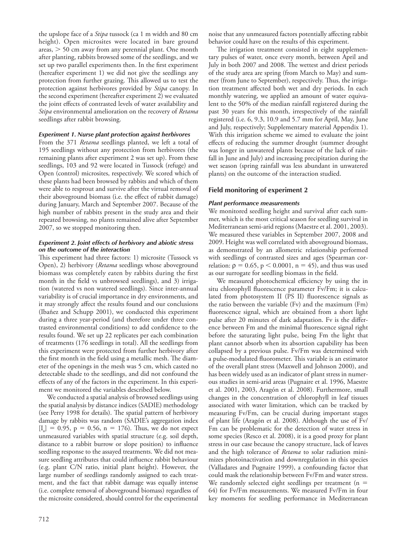the upslope face of a *Stipa* tussock (ca 1 m width and 80 cm height). Open microsites were located in bare ground areas,  $> 50$  cm away from any perennial plant. One month after planting, rabbits browsed some of the seedlings, and we set up two parallel experiments then. In the first experiment (hereafter experiment 1) we did not give the seedlings any protection from further grazing. This allowed us to test the protection against herbivores provided by *Stipa* canopy. In the second experiment (hereafter experiment 2) we evaluated the joint effects of contrasted levels of water availability and *Stipa* environmental amelioration on the recovery of *Retama* seedlings after rabbit browsing.

#### *Experiment 1. Nurse plant protection against herbivores*

 From the 371 *Retama* seedlings planted, we left a total of 195 seedlings without any protection from herbivores (the remaining plants after experiment 2 was set up). From these seedlings, 103 and 92 were located in Tussock (refuge) and Open (control) microsites, respectively. We scored which of these plants had been browsed by rabbits and which of them were able to resprout and survive after the virtual removal of their aboveground biomass (i.e. the effect of rabbit damage) during January, March and September 2007. Because of the high number of rabbits present in the study area and their repeated browsing, no plants remained alive after September 2007, so we stopped monitoring then.

#### *Experiment 2. Joint effects of herbivory and abiotic stress on the outcome of the interaction*

This experiment had three factors: 1) microsite (Tussock vs Open), 2) herbivory ( *Retama* seedlings whose aboveground biomass was completely eaten by rabbits during the first month in the field vs unbrowsed seedlings), and 3) irrigation (watered vs non watered seedlings). Since inter-annual variability is of crucial importance in dry environments, and it may strongly affect the results found and our conclusions (Ibañez and Schupp 2001), we conducted this experiment during a three year-period (and therefore under three contrasted environmental conditions) to add confidence to the results found. We set up 22 replicates per each combination of treatments (176 seedlings in total). All the seedlings from this experiment were protected from further herbivory after the first month in the field using a metallic mesh. The diameter of the openings in the mesh was 5 cm, which casted no detectable shade to the seedlings, and did not confound the effects of any of the factors in the experiment. In this experiment we monitored the variables described below.

 We conducted a spatial analysis of browsed seedlings using the spatial analysis by distance indices (SADIE) methodology (see Perry 1998 for details). The spatial pattern of herbivory damage by rabbits was random (SADIE's aggregation index  $[I_a] = 0.95$ ,  $p = 0.56$ ,  $n = 176$ ). Thus, we do not expect unmeasured variables with spatial structure (e.g. soil depth, distance to a rabbit burrow or slope position) to influence seedling response to the assayed treatments. We did not measure seedling attributes that could influence rabbit behaviour (e.g. plant C/N ratio, initial plant height). However, the large number of seedlings randomly assigned to each treatment, and the fact that rabbit damage was equally intense (i.e. complete removal of aboveground biomass) regardless of the microsite considered, should control for the experimental

noise that any unmeasured factors potentially affecting rabbit behavior could have on the results of this experiment.

The irrigation treatment consisted in eight supplementary pulses of water, once every month, between April and July in both 2007 and 2008. The wettest and driest periods of the study area are spring (from March to May) and summer (from June to September), respectively. Thus, the irrigation treatment affected both wet and dry periods. In each monthly watering, we applied an amount of water equivalent to the 50% of the median rainfall registered during the past 30 years for this month, irrespectively of the rainfall registered (i.e. 6, 9.3, 10.9 and 5.7 mm for April, May, June and July, respectively; Supplementary material Appendix 1). With this irrigation scheme we aimed to evaluate the joint effects of reducing the summer drought (summer drought was longer in unwatered plants because of the lack of rainfall in June and July) and increasing precipitation during the wet season (spring rainfall was less abundant in unwatered plants) on the outcome of the interaction studied.

#### **Field monitoring of experiment 2**

#### *Plant performance measurements*

 We monitored seedling height and survival after each summer, which is the most critical season for seedling survival in Mediterranean semi-arid regions (Maestre et al. 2001, 2003). We measured these variables in September 2007, 2008 and 2009. Height was well correlated with aboveground biomass, as demonstrated by an allometric relationship performed with seedlings of contrasted sizes and ages (Spearman correlation:  $ρ = 0.65$ ,  $p < 0.0001$ ,  $n = 45$ ), and thus was used as our surrogate for seedling biomass in the field.

We measured photochemical efficiency by using the in situ chlorophyll fluorescence parameter Fv/Fm; it is calculated from photosystem II (PS II) fluorescence signals as the ratio between the variable (Fv) and the maximum (Fm) fluorescence signal, which are obtained from a short light pulse after 20 minutes of dark adaptation. Fy is the difference between Fm and the minimal fluorescence signal right before the saturating light pulse, being Fm the light that plant cannot absorb when its absortion capability has been collapsed by a previous pulse. Fv/Fm was determined with a pulse-modulated fluorometer. This variable is an estimator of the overall plant stress (Maxwell and Johnson 2000), and has been widely used as an indicator of plant stress in numerous studies in semi-arid areas (Pugnaire et al. 1996, Maestre et al. 2001, 2003, Aragón et al. 2008). Furthermore, small changes in the concentration of chlorophyll in leaf tissues associated with water limitation, which can be tracked by measuring Fv/Fm, can be crucial during important stages of plant life (Aragón et al. 2008). Although the use of Fv/ Fm can be problematic for the detection of water stress in some species (Resco et al. 2008), it is a good proxy for plant stress in our case because the canopy structure, lack of leaves and the high tolerance of *Retama* to solar radiation minimizes photoinactivation and downregulation in this species (Valladares and Pugnaire 1999), a confounding factor that could mask the relationship between Fv/Fm and water stress. We randomly selected eight seedlings per treatment ( $n =$ 64) for Fv/Fm measurements. We measured Fv/Fm in four key moments for seedling performance in Mediterranean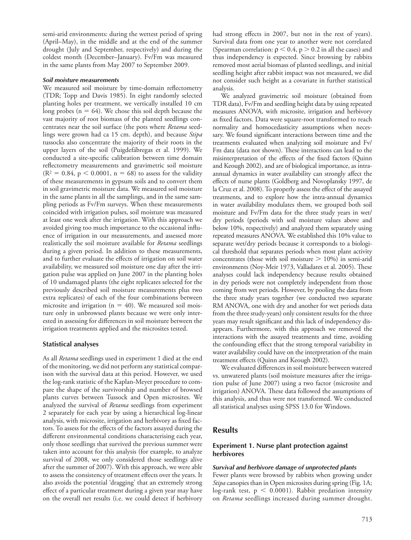semi-arid environments: during the wettest period of spring (April-May), in the middle and at the end of the summer drought (July and September, respectively) and during the coldest month (December-January). Fv/Fm was measured in the same plants from May 2007 to September 2009.

#### *Soil moisture measurements*

We measured soil moisture by time-domain reflectometry (TDR; Topp and Davis 1985). In eight randomly selected planting holes per treatment, we vertically installed 10 cm long probes ( $n = 64$ ). We chose this soil depth because the vast majority of root biomass of the planted seedlings concentrates near the soil surface (the pots where *Retama* seedlings were grown had ca 15 cm. depth), and because *Stipa* tussocks also concentrate the majority of their roots in the upper layers of the soil (Puigdefábregas et al. 1999). We conducted a site-specific calibration between time domain reflectometry measurements and gravimetric soil moisture  $(R<sup>2</sup> = 0.84, p < 0.0001, n = 68)$  to assess for the validity of these measurements in gypsum soils and to convert them in soil gravimetric moisture data. We measured soil moisture in the same plants in all the samplings, and in the same sampling periods as Fv/Fm surveys. When these measurements coincided with irrigation pulses, soil moisture was measured at least one week after the irrigation. With this approach we avoided giving too much importance to the occasional influence of irrigation in our measurements, and assessed more realistically the soil moisture available for *Retama* seedlings during a given period. In addition to these measurements, and to further evaluate the effects of irrigation on soil water availability, we measured soil moisture one day after the irrigation pulse was applied on June 2007 in the planting holes of 10 undamaged plants (the eight replicates selected for the previously described soil moisture measurements plus two extra replicates) of each of the four combinations between microsite and irrigation ( $n = 40$ ). We measured soil moisture only in unbrowsed plants because we were only interested in assessing for differences in soil moisture between the irrigation treatments applied and the microsites tested.

## **Statistical analyses**

 As all *Retama* seedlings used in experiment 1 died at the end of the monitoring, we did not perform any statistical comparison with the survival data at this period. However, we used the log-rank statistic of the Kaplan-Meyer procedure to compare the shape of the survivorship and number of browsed plants curves between Tussock and Open microsites. We analyzed the survival of *Retama* seedlings from experiment 2 separately for each year by using a hierarchical log-linear analysis, with microsite, irrigation and herbivory as fixed factors. To assess for the effects of the factors assayed during the different environmental conditions characterising each year, only those seedlings that survived the previous summer were taken into account for this analysis (for example, to analyze survival of 2008, we only considered those seedlings alive after the summer of 2007). With this approach, we were able to assess the consistency of treatment effects over the years. It also avoids the potential 'dragging' that an extremely strong effect of a particular treatment during a given year may have on the overall net results (i.e. we could detect if herbivory had strong effects in 2007, but not in the rest of years). Survival data from one year to another were not correlated (Spearman correlation:  $\rho$  < 0.4,  $p$  > 0.2 in all the cases) and thus independency is expected. Since browsing by rabbits removed most aerial biomass of planted seedlings, and initial seedling height after rabbit impact was not measured, we did not consider such height as a covariate in further statistical analysis.

 We analyzed gravimetric soil moisture (obtained from TDR data), Fv/Fm and seedling height data by using repeated measures ANOVA, with microsite, irrigation and herbivory as fixed factors. Data were square-root transformed to reach normality and homocedasticity assumptions when necessary. We found significant interactions between time and the treatments evaluated when analyzing soil moisture and Fv/ Fm data (data not shown). These interactions can lead to the misinterpretation of the effects of the fixed factors (Quinn and Keough 2002), and are of biological importance, as intraannual dynamics in water availability can strongly affect the effects of nurse plants (Goldberg and Novoplansky 1997, de la Cruz et al. 2008). To properly assess the effect of the assayed treatments, and to explore how the intra-annual dynamics in water availability modulates them, we grouped both soil moisture and Fv/Fm data for the three study years in wet/ dry periods (periods with soil moisture values above and below 10%, respectively) and analyzed them separately using repeated measures ANOVA. We established this 10% value to separate wet/dry periods because it corresponds to a biological threshold that separates periods when most plant activity concentrates (those with soil moisture  $> 10\%$ ) in semi-arid environments (Noy-Meir 1973, Valladares et al. 2005). These analyses could lack independency because results obtained in dry periods were not completely independent from those coming from wet periods. However, by pooling the data from the three study years together (we conducted two separate RM ANOVA, one with dry and another for wet periods data from the three study-years) only consistent results for the three years may result significant and this lack of independency disappears. Furthermore, with this approach we removed the interactions with the assayed treatments and time, avoiding the confounding effect that the strong temporal variability in water availability could have on the interpretation of the main treatment effects (Quinn and Keough 2002).

We evaluated differences in soil moisture between watered vs. unwatered plants (soil moisture measures after the irrigation pulse of June 2007) using a two factor (microsite and irrigation) ANOVA. These data followed the assumptions of this analysis, and thus were not transformed. We conducted all statistical analyses using SPSS 13.0 for Windows.

# **Results**

## **Experiment 1. Nurse plant protection against herbivores**

#### *Survival and herbivore damage of unprotected plants*

 Fewer plants were browsed by rabbits when growing under *Stipa* canopies than in Open microsites during spring (Fig. 1A; log-rank test,  $p < 0.0001$ ). Rabbit predation intensity on *Retama* seedlings increased during summer drought.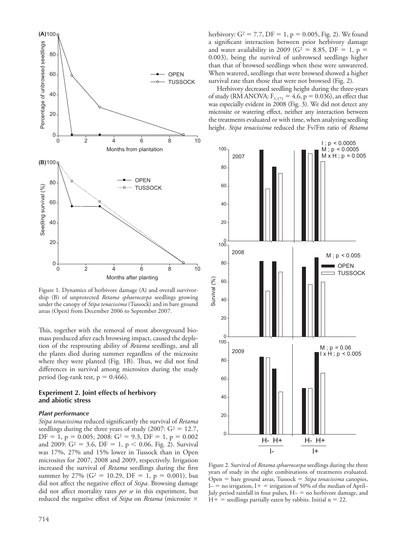

Figure 1. Dynamics of herbivore damage (A) and overall survivorship (B) of unprotected *Retama sphaerocarpa* seedlings growing under the canopy of *Stipa tenacissima* (Tussock) and in bare ground areas (Open) from December 2006 to September 2007.

This, together with the removal of most aboveground biomass produced after each browsing impact, caused the depletion of the resprouting ability of *Retama* seedlings, and all the plants died during summer regardless of the microsite where they were planted (Fig. 1B). Thus, we did not find differences in survival among microsites during the study period (log-rank test,  $p = 0.466$ ).

#### **Experiment 2. Joint effects of herbivory and abiotic stress**

#### *Plant performance*

Stipa tenacissima reduced significantly the survival of *Retama* seedlings during the three years of study (2007:  $G^2 = 12.7$ ,  $DF = 1$ ,  $p = 0.005$ ; 2008:  $G^2 = 9.3$ ,  $DF = 1$ ,  $p = 0.002$ and 2009:  $G^2 = 3.6$ , DF = 1, p < 0.06, Fig. 2). Survival was 17%, 27% and 15% lower in Tussock than in Open microsites for 2007, 2008 and 2009, respectively. Irrigation increased the survival of *Retama* seedlings during the first summer by 27% ( $G^2 = 10.29$ ,  $DF = 1$ ,  $p = 0.001$ ), but did not affect the negative effect of *Stipa*. Browsing damage did not affect mortality rates *per se* in this experiment, but reduced the negative effect of *Stipa* on *Retama* (microsite  $\times$ 

herbivory:  $G^2 = 7.7$ ,  $DF = 1$ ,  $p = 0.005$ , Fig. 2). We found a significant interaction between prior herbivory damage and water availability in 2009 ( $G^2 = 8.85$ , DF = 1, p = 0.003), being the survival of unbrowsed seedlings higher than that of browsed seedlings when these were unwatered. When watered, seedlings that were browsed showed a higher survival rate than those that were not browsed (Fig. 2).

 Herbivory decreased seedling height during the three-years of study (RM ANOVA:  $F_{1,171} = 4.6$ , p = 0.036), an effect that was especially evident in 2008 (Fig. 3). We did not detect any microsite or watering effect, neither any interaction between the treatments evaluated or with time, when analyzing seedling height. *Stipa tenacissima* reduced the Fv/Fm ratio of *Retama*



Figure 2. Survival of *Retama sphaerocarpa* seedlings during the three years of study in the eight combinations of treatments evaluated. Open = bare ground areas, Tussock = Stipa tenacissima canopies,  $I$  –  $=$  no irrigation,  $I$  +  $=$  irrigation of 50% of the median of April July period rainfall in four pulses,  $H-$  = no herbivore damage, and  $H +$  = seedlings partially eaten by rabbits. Initial n = 22.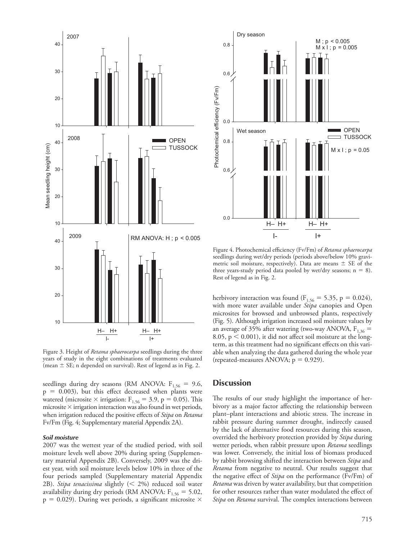

Figure 3. Height of *Retama sphaerocarpa* seedlings during the three years of study in the eight combinations of treatments evaluated (mean  $\pm$  SE; n depended on survival). Rest of legend as in Fig. 2.

seedlings during dry seasons (RM ANOVA:  $F_{1,56} = 9.6$ ,  $p = 0.003$ ), but this effect decreased when plants were watered (microsite  $\times$  irrigation: F<sub>1,56</sub> = 3.9, p = 0.05). This microsite  $\times$  irrigation interaction was also found in wet periods, when irrigation reduced the positive effects of *Stipa* on *Retama* Fv/Fm (Fig. 4; Supplementary material Appendix 2A).

#### *Soil moisture*

 2007 was the wettest year of the studied period, with soil moisture levels well above 20% during spring (Supplementary material Appendix 2B). Conversely, 2009 was the driest year, with soil moisture levels below 10% in three of the four periods sampled (Supplementary material Appendix 2B). *Stipa tenacissima* slightly  $(< 2\%)$  reduced soil water availability during dry periods (RM ANOVA:  $F_{1.56} = 5.02$ ,  $p = 0.029$ . During wet periods, a significant microsite  $\times$ 



Figure 4. Photochemical efficiency (Fv/Fm) of *Retama sphaerocarpa* seedlings during wet/dry periods (periods above/below 10% gravimetric soil moisture, respectively). Data are means  $\pm$  SE of the three years-study period data pooled by wet/dry seasons;  $n = 8$ ). Rest of legend as in Fig. 2.

herbivory interaction was found ( $F_{1,56} = 5.35$ , p = 0.024), with more water available under *Stipa* canopies and Open microsites for browsed and unbrowsed plants, respectively (Fig. 5). Although irrigation increased soil moisture values by an average of 35% after watering (two-way ANOVA,  $F_{1,36}$  = 8.05,  $p < 0.001$ ), it did not affect soil moisture at the longterm, as this treatment had no significant effects on this variable when analyzing the data gathered during the whole year (repeated-measures ANOVA;  $p = 0.929$ ).

## **Discussion**

The results of our study highlight the importance of herbivory as a major factor affecting the relationship between plant-plant interactions and abiotic stress. The increase in rabbit pressure during summer drought, indirectly caused by the lack of alternative food resources during this season, overrided the herbivory protection provided by *Stipa* during wetter periods, when rabbit pressure upon *Retama* seedlings was lower. Conversely, the initial loss of biomass produced by rabbit browsing shifted the interaction between *Stipa* and *Retama* from negative to neutral. Our results suggest that the negative effect of *Stipa* on the performance (Fv/Fm) of *Retama* was driven by water availability, but that competition for other resources rather than water modulated the effect of *Stipa* on *Retama* survival. The complex interactions between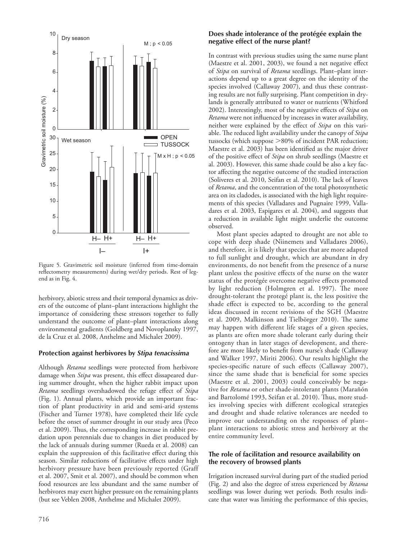

Figure 5. Gravimetric soil moisture (inferred from time-domain reflectometry measurements) during wet/dry periods. Rest of legend as in Fig. 4.

herbivory, abiotic stress and their temporal dynamics as drivers of the outcome of plant – plant interactions highlight the importance of considering these stressors together to fully understand the outcome of plant-plant interactions along environmental gradients (Goldberg and Novoplansky 1997, de la Cruz et al. 2008, Anthelme and Michalet 2009).

#### **Protection against herbivores by** *Stipa tenacissima*

 Although *Retama* seedlings were protected from herbivore damage when *Stipa* was present, this effect dissapeared during summer drought, when the higher rabbit impact upon *Retama* seedlings overshadowed the refuge effect of *Stipa* (Fig. 1). Annual plants, which provide an important fraction of plant productivity in arid and semi-arid systems (Fischer and Turner 1978), have completed their life cycle before the onset of summer drought in our study area (Peco et al. 2009). Thus, the corresponding increase in rabbit predation upon perennials due to changes in diet produced by the lack of annuals during summer (Rueda et al. 2008) can explain the suppression of this facilitative effect during this season. Similar reductions of facilitative effects under high herbivory pressure have been previously reported (Graff et al. 2007, Smit et al. 2007), and should be common when food resources are less abundant and the same number of herbivores may exert higher pressure on the remaining plants

### Does shade intolerance of the protégée explain the **negative effect of the nurse plant?**

 In contrast with previous studies using the same nurse plant (Maestre et al.  $2001$ ,  $2003$ ), we found a net negative effect of *Stipa* on survival of *Retama* seedlings. Plant-plant interactions depend up to a great degree on the identity of the species involved (Callaway 2007), and thus these contrasting results are not fully surprising. Plant competition in drylands is generally attributed to water or nutrients (Whitford 2002). Interestingly, most of the negative effects of *Stipa* on *Retama* were not influenced by increases in water availability, neither were explained by the effect of *Stipa* on this variable. The reduced light availability under the canopy of *Stipa* tussocks (which suppose  $>80\%$  of incident PAR reduction; Maestre et al. 2003) has been identified as the major driver of the positive effect of *Stipa* on shrub seedlings (Maestre et al. 2003). However, this same shade could be also a key factor affecting the negative outcome of the studied interaction (Soliveres et al. 2010, Seifan et al. 2010). The lack of leaves of *Retama* , and the concentration of the total photosynthetic area on its cladodes, is associated with the high light requirements of this species (Valladares and Pugnaire 1999, Valladares et al. 2003, Espigares et al. 2004), and suggests that a reduction in available light might underlie the outcome observed.

 Most plant species adapted to drought are not able to cope with deep shade (Niinemets and Valladares 2006), and therefore, it is likely that species that are more adapted to full sunlight and drought, which are abundant in dry environments, do not benefit from the presence of a nurse plant unless the positive effects of the nurse on the water status of the protégée overcome negative effects promoted by light reduction (Holmgren et al. 1997). The more drought-tolerant the protegé plant is, the less positive the shade effect is expected to be, according to the general ideas discussed in recent revisions of the SGH (Maestre et al. 2009, Malkinson and Tielbörger 2010). The same may happen with different life stages of a given species, as plants are often more shade tolerant early during their ontogeny than in later stages of development, and therefore are more likely to benefit from nurse's shade (Callaway and Walker 1997, Miriti 2006). Our results highlight the species-specific nature of such effects (Callaway 2007), since the same shade that is beneficial for some species (Maestre et al. 2001, 2003) could conceivably be negative for *Retama* or other shade-intolerant plants (Marañón and Bartolomé 1993, Seifan et al. 2010). Thus, more studies involving species with different ecological strategies and drought and shade relative tolerances are needed to improve our understanding on the responses of plant plant interactions to abiotic stress and herbivory at the entire community level.

# **The role of facilitation and resource availability on the recovery of browsed plants**

 Irrigation increased survival during part of the studied period (Fig. 2) and also the degree of stress experienced by *Retama* seedlings was lower during wet periods. Both results indicate that water was limiting the performance of this species,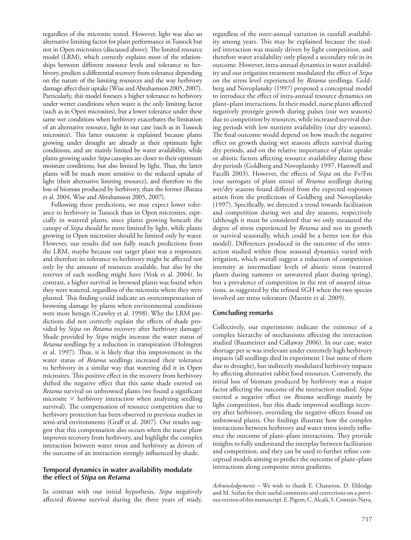regardless of the microsite tested. However, light was also an alternative limiting factor for plant performance in Tussock but not in Open microsites (discussed above). The limited resource model (LRM), which correctly explains most of the relationships between different resource levels and tolerance to herbivory, predicts a differential recovery from tolerance depending on the nature of the limiting resources and the way herbivory damage affect their uptake (Wise and Abrahamson 2005, 2007). Particularly, this model foresees a higher tolerance to herbivory under wetter conditions when water is the only limiting factor (such as in Open microsites), but a lower tolerance under these same wet conditions when herbivory exacerbates the limitation of an alternative resource, light in our case (such as in Tussock microsites). This latter outcome is explained because plants growing under drought are already at their optimum light conditions, and are mainly limited by water availability, while plants growing under *Stipa* canopies are closer to their optimum moisture conditions, but also limited by light. Thus, the latter plants will be much more sensitive to the reduced uptake of light (their alternative limiting resource), and therefore to the loss of biomass produced by herbivory, than the former (Baraza et al. 2004, Wise and Abrahamson 2005, 2007).

 Following these predictions, we may expect lower tolerance to herbivory in Tussock than in Open microsites, especially in watered plants, since plants growing beneath the canopy of *Stipa* should be more limited by light, while plants growing in Open microsites should be limited only by water. However, our results did not fully match predictions from the LRM, maybe because our target plant was a resprouter, and therefore its tolerance to herbivory might be affected not only by the amount of resources available, but also by the reserves of each seedling might have (Vesk et al. 2004). In contrast, a higher survival in browsed plants was found when they were watered, regardless of the microsite where they were planted. This finding could indicate an overcompensation of browsing damage by plants when environmental conditions were more benign (Crawley et al. 1998). Why the LRM predictions did not correctly explain the effects of shade provided by *Stipa* on *Retama* recovery after herbivory damage? Shade provided by *Stipa* might increase the water status of *Retama* seedlings by a reduction in transpiration (Holmgren et al. 1997). Thus, it is likely that this improvement in the water status of *Retama* seedlings increased their tolerance to herbivory in a similar way that watering did it in Open microsites. This positive effect in the recovery from herbivory shifted the negative effect that this same shade exerted on *Retama* survival on unbrowsed plants (we found a significant microsite  $\times$  herbivory interaction when analyzing seedling survival). The compensation of resource competition due to herbivory protection has been observed in previous studies in semi-arid environments (Graff et al. 2007). Our results suggest that this compensation also occurs when the nurse plant improves recovery from herbivory, and highlight the complex interaction between water stress and herbivory as drivers of the outcome of an interaction strongly influenced by shade.

## **Temporal dynamics in water availability modulate the effect of** *Stipa* **on** *Retama*

 In contrast with our initial hypothesis, *Stipa* negatively affected *Retama* survival during the three years of study, regardless of the inter-annual variation in rainfall availability among years. This may be explained because the studied interaction was mainly driven by light competition, and therefore water availability only played a secondary role in its outcome. However, intra-annual dynamics in water availability and our irrigation treatment modulated the effect of *Stipa* on the stress level experienced by *Retama* seedlings. Goldberg and Novoplansky (1997) proposed a conceptual model to introduce the effect of intra-annual resource dynamics on plant-plant interactions. In their model, nurse plants affected negatively protégée growth during pulses (our wet seasons) due to competition by resources, while increased survival during periods with low nutrient availability (our dry seasons). The final outcome would depend on how much the negative effect on growth during wet seasons affects survival during dry periods, and on the relative importance of plant uptake or abiotic factors affecting resource availability during these dry periods (Goldberg and Novoplansky 1997, Hastwell and Facelli 2003). However, the effects of *Stipa* on the Fv/Fm (our surrogate of plant stress) of *Retama* seedlings during wet/dry seasons found differed from the expected responses arisen from the predictions of Goldberg and Novoplansky (1997). Specifically, we detected a trend towards facilitation and competition during wet and dry seasons, respectively (although it must be considered that we only measured the degree of stress experienced by *Retama* and not its growth or survival seasonally, which could be a better test for this model). Differences produced in the outcome of the interaction studied within these seasonal dynamics varied with irrigation, which overall suggest a reduction of competition intensity at intermediate levels of abiotic stress (watered plants during summer or unwatered plant during spring), but a prevalence of competition in the rest of assayed situations, as suggested by the refined SGH when the two species involved are stress tolerators (Maestre et al. 2009).

#### **Concluding remarks**

 Collectively, our experiments indicate the existence of a complex hierarchy of mechanisms affecting the interaction studied (Baumeister and Callaway 2006). In our case, water shortage per se was irrelevant under extremely high herbivory impacts (all seedlings died in experiment 1 but none of them due to drought), but indirectly modulated herbivory impacts by aff ecting alternative rabbit food resources. Conversely, the initial loss of biomass produced by herbivory was a major factor affecting the outcome of the interaction studied. *Stipa* exerted a negative effect on *Retama* seedlings mainly by light competition, but this shade improved seedlings recovery after herbivory, overriding the negative effects found on unbrowsed plants. Our findings illustrate how the complex interactions between herbivory and water stress jointly influence the outcome of plant-plant interactions. They provide insights to fully understand the interplay between facilitation and competition, and they can be used to further refine conceptual models aiming to predict the outcome of plant – plant interactions along composite stress gradients.

 *Acknowledgements –* We wish to thank E. Chaneton, D. Eldridge and M. Seifan for their useful comments and corrections on a previous version of this manuscript. E. Pigem, C. Alcalá, S. Constán-Nava,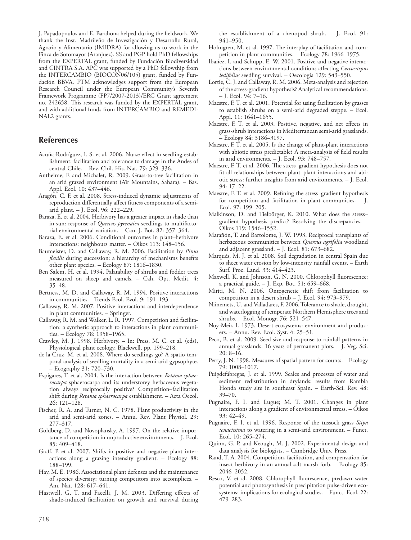J. Papadopoulos and E. Barahona helped during the fieldwork. We thank the Inst. Madrileño de Investigación y Desarrollo Rural, Agrario y Alimentario (IMIDRA) for allowing us to work in the Finca de Sotomayor (Aranjuez). SS and PGP hold PhD fellowships from the EXPERTAL grant, funded by Fundación Biodiversidad and CINTRA S.A. APC was supported by a PhD fellowship from the INTERCAMBIO (BIOCON06/105) grant, funded by Fundación BBVA. FTM acknowledges support from the European Research Council under the European Community's Seventh Framework Programme (FP7/2007-2013)/ERC Grant agreement no. 242658. This research was funded by the EXPERTAL grant, and with additional funds from INTERCAMBIO and REMEDI-NAL2 grants.

# **References**

- Acuña-Rodríguez, I. S. et al. 2006. Nurse effect in seedling establishment: facilitation and tolerance to damage in the Andes of central Chile. - Rev. Chil. His. Nat. 79: 329-336.
- Anthelme, F. and Michalet, R. 2009. Grass-to-tree facilitation in an arid grazed environment (Aïr Mountains, Sahara). - Bas. Appl. Ecol. 10: 437-446.
- Aragón, C. F. et al. 2008. Stress-induced dynamic adjustments of reproduction differentially affect fitness components of a semiarid plant. - J. Ecol. 96: 222-229.
- Baraza, E. et al. 2004. Herbivory has a greater impact in shade than in sun: response of *Quercus pyrenaica* seedlings to multifactorial environmental variation. - Can. J. Bot. 82: 357-364.
- Baraza, E. et al. 2006. Conditional outcomes in plant-herbivore interactions: neighbours matter. - Oikos 113: 148-156.
- Baumeister, D. and Callaway, R. M. 2006. Facilitation by *Pinus flexilis* during succession: a hierarchy of mechanisms benefits other plant species. - Ecology 87: 1816-1830.
- Ben Salem, H. et al. 1994. Palatability of shrubs and fodder trees measured on sheep and camels. – Cah. Opt. Medit. 4: 35 – 48.
- Bertness, M. D. and Callaway, R. M. 1994. Positive interactions in communities. – Trends Ecol. Evol. 9: 191–193.
- Callaway, R. M. 2007. Positive interactions and interdependence in plant communities. – Springer.
- Callaway, R. M. and Walker, L. R. 1997. Competition and facilitation: a synthetic approach to interactions in plant communities. - Ecology 78: 1958-1965.
- Crawley, M. J. 1998. Herbivory. In: Press, M. C. et al. (eds), Physiological plant ecology. Blackwell, pp. 199-218.
- de la Cruz, M. et al. 2008. Where do seedlings go? A spatio-temporal analysis of seedling mortality in a semi-arid gypsophyte. – Ecography 31: 720–730.
- Espigares, T. et al. 2004. Is the interaction between *Retama sphaerocarpa* sphaerocarpa and its understorey herbaceous vegetation always reciprocally positive? Competition-facilitation shift during *Retama sphaerocarpa* establishment. – Acta Oecol. 26: 121-128.
- Fischer, R. A. and Turner, N. C. 1978. Plant productivity in the arid and semi-arid zones. – Annu. Rev. Plant Physiol. 29: 277-317.
- Goldberg, D. and Novoplansky, A. 1997. On the relative importance of competition in unproductive environments. – J. Ecol. 85: 409-418.
- Graff, P. et al. 2007. Shifts in positive and negative plant interactions along a grazing intensity gradient. – Ecology 88: 188-199.
- Hay, M. E. 1986. Associational plant defenses and the maintenance of species diversity: turning competitors into accomplices. – Am. Nat. 128: 617-641.
- Hastwell, G. T. and Facelli, J. M. 2003. Differing effects of shade-induced facilitation on growth and survival during

the establishment of a chenopod shrub. – J. Ecol. 91:  $941 - 950.$ 

- Holmgren, M. et al. 1997. The interplay of facilitation and competition in plant communities. - Ecology 78: 1966-1975.
- Ibañez, I. and Schupp, E. W. 2001. Positive and negative interactions between environmental conditions affecting *Cercocarpus ledifolius* seedling survival. – Oecologia 129: 543–550.
- Lortie, C. J. and Callaway, R. M. 2006. Meta-analysis and rejection of the stress-gradient hypothesis? Analytical recommendations. – J. Ecol. 94: 7 – 16.
- Maestre, F. T. et al. 2001. Potential for using facilitation by grasses to establish shrubs on a semi-arid degraded steppe. – Ecol. Appl. 11: 1641-1655.
- Maestre, F. T. et al. 2003. Positive, negative, and net effects in grass-shrub interactions in Mediterranean semi-arid grasslands. – Ecology 84: 3186 – 3197.
- Maestre, F. T. et al. 2005. Is the change of plant-plant interactions with abiotic stress predictable? A meta-analysis of field results in arid environments. - J. Ecol. 93: 748-757.
- Maestre, F. T. et al. 2006. The stress-gradient hypothesis does not fit all relationships between plant-plant interactions and abiotic stress: further insights from arid environments. – J. Ecol. 94: 17-22.
- Maestre, F. T. et al. 2009. Refining the stress-gradient hypothesis for competition and facilitation in plant communities. – J. Ecol. 97: 199-205.
- Malkinson, D. and Tielbörger, K. 2010. What does the stress gradient hypothesis predict? Resolving the discrepancies. – Oikos 119: 1546-1552.
- Marañón, T. and Bartolome, J. W. 1993. Reciprocal transplants of herbaceous communities between *Quercus agrifolia* woodland and adjacent grassland.  $-$  J. Ecol. 81: 673-682.
- Marqués, M. J. et al. 2008. Soil degradation in central Spain due to sheet water erosion by low-intensity rainfall events. – Earth Surf. Proc. Land. 33: 414-423.
- Maxwell, K. and Johnson, G. N. 2000. Chlorophyll fluorescence: a practical guide. - J. Exp. Bot. 51: 659-668.
- Miriti, M. N. 2006. Ontogenetic shift from facilitation to competition in a desert shrub - J. Ecol. 94: 973-979.
- Niinemets, U. and Valladares, F. 2006. Tolerance to shade, drought, and waterlogging of temperate Northern Hemisphere trees and shrubs. – Ecol. Monogr. 76: 521–547.
- Noy-Meir, I. 1973. Desert ecosystems: environment and producers. – Annu. Rev. Ecol. Syst. 4: 25–51.
- Peco, B. et al. 2009. Seed size and response to rainfall patterns in annual grasslands: 16 years of permanent plots. – J. Veg. Sci.  $20: 8 - 16.$
- Perry, J. N. 1998. Measures of spatial pattern for counts. Ecology 79: 1008-1017.
- Puigdefábregas, J. et al. 1999. Scales and processes of water and sediment redistribution in drylands: results from Rambla Honda study site in southeast Spain. – Earth-Sci. Rev. 48:  $39 - 70.$
- Pugnaire, F. I. and Lugue; M. T. 2001. Changes in plant interactions along a gradient of environmental stress. – Oikos 93: 42–49.
- Pugnaire, F. I. et al. 1996. Response of the tussock grass *Stipa tenacissima* to watering in a semi-arid environment. – Funct. Ecol. 10: 265-274.
- Quinn, G. P. and Keough, M. J. 2002. Experimental design and data analysis for biologists. – Cambridge Univ. Press.
- Rand, T. A. 2004. Competition, facilitation, and compensation for insect herbivory in an annual salt marsh forb. – Ecology 85: 2046-2052.
- Resco, V. et al. 2008. Chlorophyll fluorescence, predawn water potential and photosynthesis in precipitation pulse-driven ecosystems: implications for ecological studies. – Funct. Ecol. 22: 479 – 283.